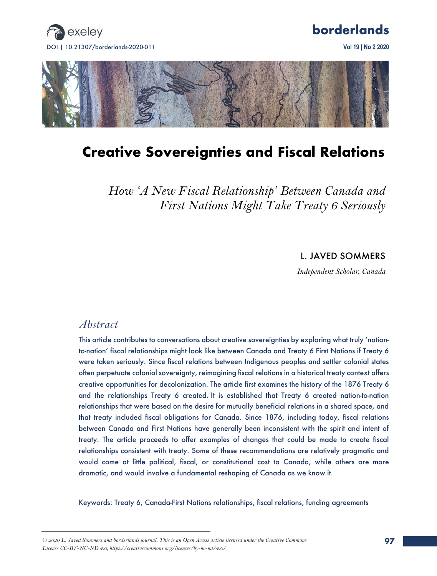

# **borderlands**



# **Creative Sovereignties and Fiscal Relations**

*How 'A New Fiscal Relationship' Between Canada and First Nations Might Take Treaty 6 Seriously*

L. JAVED SOMMERS

*Independent Scholar, Canada*

## *Abstract*

This article contributes to conversations about creative sovereignties by exploring what truly 'nationto-nation' fiscal relationships might look like between Canada and Treaty 6 First Nations if Treaty 6 were taken seriously. Since fiscal relations between Indigenous peoples and settler colonial states often perpetuate colonial sovereignty, reimagining fiscal relations in a historical treaty context offers creative opportunities for decolonization. The article first examines the history of the 1876 Treaty 6 and the relationships Treaty 6 created. It is established that Treaty 6 created nation-to-nation relationships that were based on the desire for mutually beneficial relations in a shared space, and that treaty included fiscal obligations for Canada. Since 1876, including today, fiscal relations between Canada and First Nations have generally been inconsistent with the spirit and intent of treaty. The article proceeds to offer examples of changes that could be made to create fiscal relationships consistent with treaty. Some of these recommendations are relatively pragmatic and would come at little political, fiscal, or constitutional cost to Canada, while others are more dramatic, and would involve a fundamental reshaping of Canada as we know it.

Keywords: Treaty 6, Canada-First Nations relationships, fiscal relations, funding agreements

*<sup>© 2020</sup> L. Javed Sommers and borderlands journal. This is an Open Access article licensed under the Creative Commons License CC-BY-NC-ND 4.0, https://creativecommons.org/licenses/by-nc-nd/4.0/*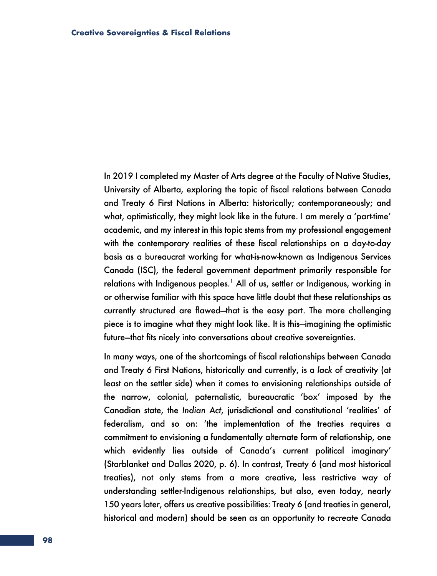In 2019 I completed my Master of Arts degree at the Faculty of Native Studies, University of Alberta, exploring the topic of fiscal relations between Canada and Treaty 6 First Nations in Alberta: historically; contemporaneously; and what, optimistically, they might look like in the future. I am merely a 'part-time' academic, and my interest in this topic stems from my professional engagement with the contemporary realities of these fiscal relationships on a day-to-day basis as a bureaucrat working for what-is-now-known as Indigenous Services Canada (ISC), the federal government department primarily responsible for relations with Indigenous peoples.<sup>1</sup> All of us, settler or Indigenous, working in or otherwise familiar with this space have little doubt that these relationships as currently structured are flawed—that is the easy part. The more challenging piece is to imagine what they might look like. It is this—imagining the optimistic future—that fits nicely into conversations about creative sovereignties.

In many ways, one of the shortcomings of fiscal relationships between Canada and Treaty 6 First Nations, historically and currently, is a *lack* of creativity (at least on the settler side) when it comes to envisioning relationships outside of the narrow, colonial, paternalistic, bureaucratic 'box' imposed by the Canadian state, the *Indian Act*, jurisdictional and constitutional 'realities' of federalism, and so on: 'the implementation of the treaties requires a commitment to envisioning a fundamentally alternate form of relationship, one which evidently lies outside of Canada's current political imaginary' (Starblanket and Dallas 2020, p. 6). In contrast, Treaty 6 (and most historical treaties), not only stems from a more creative, less restrictive way of understanding settler-Indigenous relationships, but also, even today, nearly 150 years later, offers us creative possibilities: Treaty 6 (and treaties in general, historical and modern) should be seen as an opportunity to re*create* Canada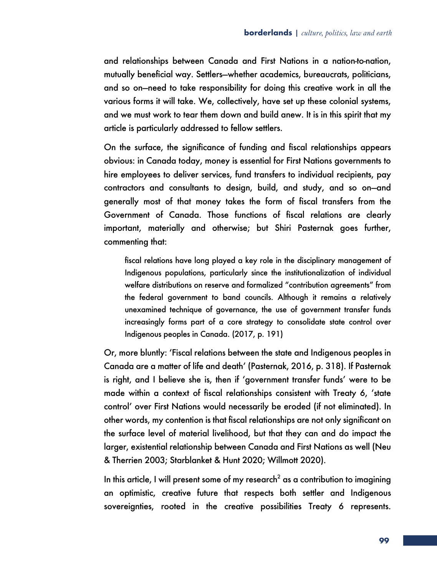and relationships between Canada and First Nations in a nation-to-nation, mutually beneficial way. Settlers—whether academics, bureaucrats, politicians, and so on—need to take responsibility for doing this creative work in all the various forms it will take. We, collectively, have set up these colonial systems, and we must work to tear them down and build anew. It is in this spirit that my article is particularly addressed to fellow settlers.

On the surface, the significance of funding and fiscal relationships appears obvious: in Canada today, money is essential for First Nations governments to hire employees to deliver services, fund transfers to individual recipients, pay contractors and consultants to design, build, and study, and so on—and generally most of that money takes the form of fiscal transfers from the Government of Canada. Those functions of fiscal relations are clearly important, materially and otherwise; but Shiri Pasternak goes further, commenting that:

fiscal relations have long played a key role in the disciplinary management of Indigenous populations, particularly since the institutionalization of individual welfare distributions on reserve and formalized "contribution agreements" from the federal government to band councils. Although it remains a relatively unexamined technique of governance, the use of government transfer funds increasingly forms part of a core strategy to consolidate state control over Indigenous peoples in Canada. (2017, p. 191)

Or, more bluntly: 'Fiscal relations between the state and Indigenous peoples in Canada are a matter of life and death' (Pasternak, 2016, p. 318). If Pasternak is right, and I believe she is, then if 'government transfer funds' were to be made within a context of fiscal relationships consistent with Treaty 6, 'state control' over First Nations would necessarily be eroded (if not eliminated). In other words, my contention is that fiscal relationships are not only significant on the surface level of material livelihood, but that they can and do impact the larger, existential relationship between Canada and First Nations as well (Neu & Therrien 2003; Starblanket & Hunt 2020; Willmott 2020).

In this article, I will present some of my research<sup>2</sup> as a contribution to imagining an optimistic, creative future that respects both settler and Indigenous sovereignties, rooted in the creative possibilities Treaty 6 represents.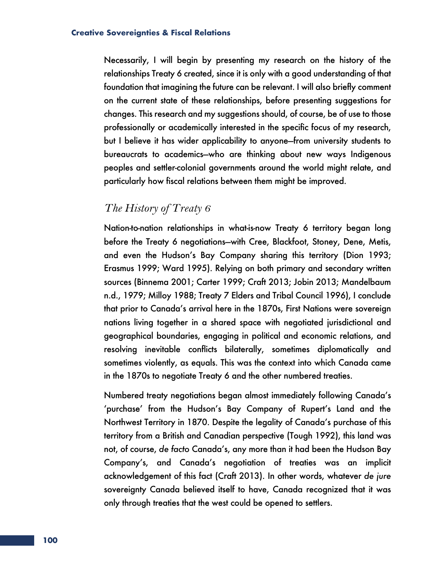Necessarily, I will begin by presenting my research on the history of the relationships Treaty 6 created, since it is only with a good understanding of that foundation that imagining the future can be relevant. I will also briefly comment on the current state of these relationships, before presenting suggestions for changes. This research and my suggestions should, of course, be of use to those professionally or academically interested in the specific focus of my research, but I believe it has wider applicability to anyone—from university students to bureaucrats to academics—who are thinking about new ways Indigenous peoples and settler-colonial governments around the world might relate, and particularly how fiscal relations between them might be improved.

## *The History of Treaty 6*

Nation-to-nation relationships in what-is-now Treaty 6 territory began long before the Treaty 6 negotiations—with Cree, Blackfoot, Stoney, Dene, Metis, and even the Hudson's Bay Company sharing this territory (Dion 1993; Erasmus 1999; Ward 1995). Relying on both primary and secondary written sources (Binnema 2001; Carter 1999; Craft 2013; Jobin 2013; Mandelbaum n.d., 1979; Milloy 1988; Treaty 7 Elders and Tribal Council 1996), I conclude that prior to Canada's arrival here in the 1870s, First Nations were sovereign nations living together in a shared space with negotiated jurisdictional and geographical boundaries, engaging in political and economic relations, and resolving inevitable conflicts bilaterally, sometimes diplomatically and sometimes violently, as equals. This was the context into which Canada came in the 1870s to negotiate Treaty 6 and the other numbered treaties.

Numbered treaty negotiations began almost immediately following Canada's 'purchase' from the Hudson's Bay Company of Rupert's Land and the Northwest Territory in 1870. Despite the legality of Canada's purchase of this territory from a British and Canadian perspective (Tough 1992), this land was not, of course, *de facto* Canada's, any more than it had been the Hudson Bay Company's, and Canada's negotiation of treaties was an implicit acknowledgement of this fact (Craft 2013). In other words, whatever *de jure* sovereignty Canada believed itself to have, Canada recognized that it was only through treaties that the west could be opened to settlers.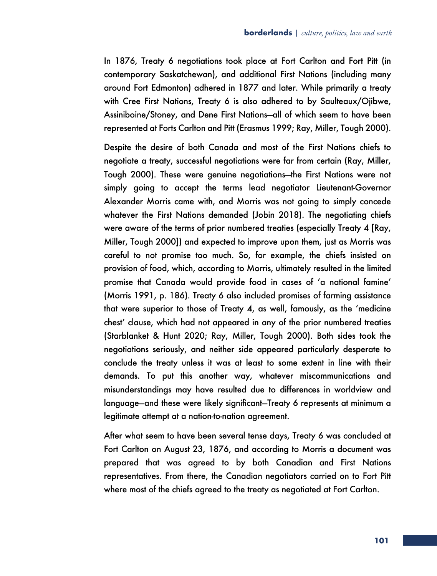In 1876, Treaty 6 negotiations took place at Fort Carlton and Fort Pitt (in contemporary Saskatchewan), and additional First Nations (including many around Fort Edmonton) adhered in 1877 and later. While primarily a treaty with Cree First Nations, Treaty 6 is also adhered to by Saulteaux/Ojibwe, Assiniboine/Stoney, and Dene First Nations—all of which seem to have been represented at Forts Carlton and Pitt (Erasmus 1999; Ray, Miller, Tough 2000).

Despite the desire of both Canada and most of the First Nations chiefs to negotiate a treaty, successful negotiations were far from certain (Ray, Miller, Tough 2000). These were genuine negotiations—the First Nations were not simply going to accept the terms lead negotiator Lieutenant-Governor Alexander Morris came with, and Morris was not going to simply concede whatever the First Nations demanded (Jobin 2018). The negotiating chiefs were aware of the terms of prior numbered treaties (especially Treaty 4 [Ray, Miller, Tough 2000]) and expected to improve upon them, just as Morris was careful to not promise too much. So, for example, the chiefs insisted on provision of food, which, according to Morris, ultimately resulted in the limited promise that Canada would provide food in cases of 'a national famine' (Morris 1991, p. 186). Treaty 6 also included promises of farming assistance that were superior to those of Treaty 4, as well, famously, as the 'medicine chest' clause, which had not appeared in any of the prior numbered treaties (Starblanket & Hunt 2020; Ray, Miller, Tough 2000). Both sides took the negotiations seriously, and neither side appeared particularly desperate to conclude the treaty unless it was at least to some extent in line with their demands. To put this another way, whatever miscommunications and misunderstandings may have resulted due to differences in worldview and language—and these were likely significant—Treaty 6 represents at minimum a legitimate attempt at a nation-to-nation agreement.

After what seem to have been several tense days, Treaty 6 was concluded at Fort Carlton on August 23, 1876, and according to Morris a document was prepared that was agreed to by both Canadian and First Nations representatives. From there, the Canadian negotiators carried on to Fort Pitt where most of the chiefs agreed to the treaty as negotiated at Fort Carlton.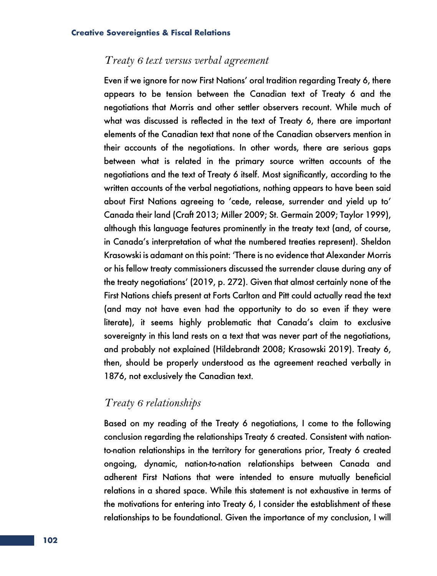### *Treaty 6 text versus verbal agreement*

Even if we ignore for now First Nations' oral tradition regarding Treaty 6, there appears to be tension between the Canadian text of Treaty 6 and the negotiations that Morris and other settler observers recount. While much of what was discussed is reflected in the text of Treaty 6, there are important elements of the Canadian text that none of the Canadian observers mention in their accounts of the negotiations. In other words, there are serious gaps between what is related in the primary source written accounts of the negotiations and the text of Treaty 6 itself. Most significantly, according to the written accounts of the verbal negotiations, nothing appears to have been said about First Nations agreeing to 'cede, release, surrender and yield up to' Canada their land (Craft 2013; Miller 2009; St. Germain 2009; Taylor 1999), although this language features prominently in the treaty text (and, of course, in Canada's interpretation of what the numbered treaties represent). Sheldon Krasowski is adamant on this point: 'There is no evidence that Alexander Morris or his fellow treaty commissioners discussed the surrender clause during any of the treaty negotiations' (2019, p. 272). Given that almost certainly none of the First Nations chiefs present at Forts Carlton and Pitt could actually read the text (and may not have even had the opportunity to do so even if they were literate), it seems highly problematic that Canada's claim to exclusive sovereignty in this land rests on a text that was never part of the negotiations, and probably not explained (Hildebrandt 2008; Krasowski 2019). Treaty 6, then, should be properly understood as the agreement reached verbally in 1876, not exclusively the Canadian text.

## *Treaty 6 relationships*

Based on my reading of the Treaty 6 negotiations, I come to the following conclusion regarding the relationships Treaty 6 created. Consistent with nationto-nation relationships in the territory for generations prior, Treaty 6 created ongoing, dynamic, nation-to-nation relationships between Canada and adherent First Nations that were intended to ensure mutually beneficial relations in a shared space. While this statement is not exhaustive in terms of the motivations for entering into Treaty 6, I consider the establishment of these relationships to be foundational. Given the importance of my conclusion, I will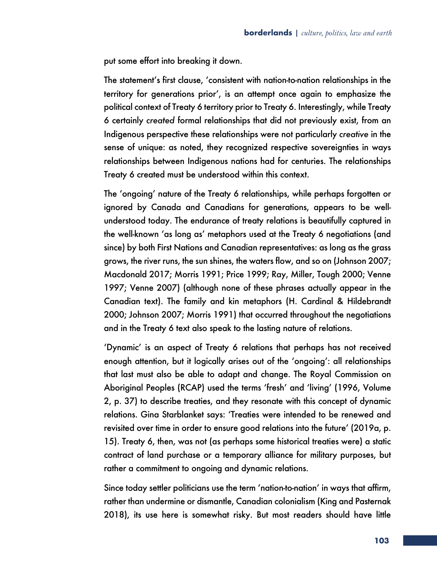put some effort into breaking it down.

The statement's first clause, 'consistent with nation-to-nation relationships in the territory for generations prior', is an attempt once again to emphasize the political context of Treaty 6 territory prior to Treaty 6. Interestingly, while Treaty 6 certainly *created* formal relationships that did not previously exist, from an Indigenous perspective these relationships were not particularly *creative* in the sense of unique: as noted, they recognized respective sovereignties in ways relationships between Indigenous nations had for centuries. The relationships Treaty 6 created must be understood within this context.

The 'ongoing' nature of the Treaty 6 relationships, while perhaps forgotten or ignored by Canada and Canadians for generations, appears to be wellunderstood today. The endurance of treaty relations is beautifully captured in the well-known 'as long as' metaphors used at the Treaty 6 negotiations (and since) by both First Nations and Canadian representatives: as long as the grass grows, the river runs, the sun shines, the waters flow, and so on (Johnson 2007; Macdonald 2017; Morris 1991; Price 1999; Ray, Miller, Tough 2000; Venne 1997; Venne 2007) (although none of these phrases actually appear in the Canadian text). The family and kin metaphors (H. Cardinal & Hildebrandt 2000; Johnson 2007; Morris 1991) that occurred throughout the negotiations and in the Treaty 6 text also speak to the lasting nature of relations.

'Dynamic' is an aspect of Treaty 6 relations that perhaps has not received enough attention, but it logically arises out of the 'ongoing': all relationships that last must also be able to adapt and change. The Royal Commission on Aboriginal Peoples (RCAP) used the terms 'fresh' and 'living' (1996, Volume 2, p. 37) to describe treaties, and they resonate with this concept of dynamic relations. Gina Starblanket says: 'Treaties were intended to be renewed and revisited over time in order to ensure good relations into the future' (2019a, p. 15). Treaty 6, then, was not (as perhaps some historical treaties were) a static contract of land purchase or a temporary alliance for military purposes, but rather a commitment to ongoing and dynamic relations.

Since today settler politicians use the term 'nation-to-nation' in ways that affirm, rather than undermine or dismantle, Canadian colonialism (King and Pasternak 2018), its use here is somewhat risky. But most readers should have little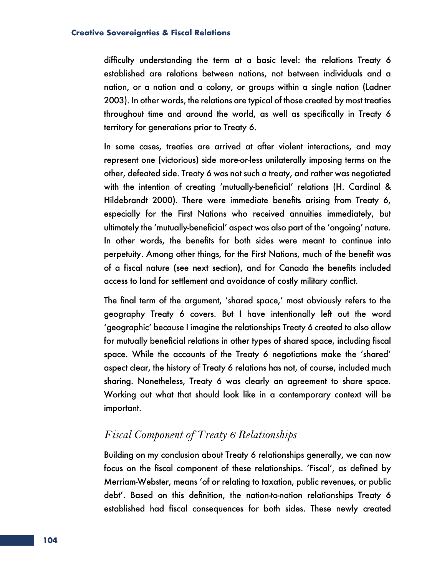difficulty understanding the term at a basic level: the relations Treaty 6 established are relations between nations, not between individuals and a nation, or a nation and a colony, or groups within a single nation (Ladner 2003). In other words, the relations are typical of those created by most treaties throughout time and around the world, as well as specifically in Treaty 6 territory for generations prior to Treaty 6.

In some cases, treaties are arrived at after violent interactions, and may represent one (victorious) side more-or-less unilaterally imposing terms on the other, defeated side. Treaty 6 was not such a treaty, and rather was negotiated with the intention of creating 'mutually-beneficial' relations (H. Cardinal & Hildebrandt 2000). There were immediate benefits arising from Treaty 6, especially for the First Nations who received annuities immediately, but ultimately the 'mutually-beneficial' aspect was also part of the 'ongoing' nature. In other words, the benefits for both sides were meant to continue into perpetuity. Among other things, for the First Nations, much of the benefit was of a fiscal nature (see next section), and for Canada the benefits included access to land for settlement and avoidance of costly military conflict.

The final term of the argument, 'shared space,' most obviously refers to the geography Treaty 6 covers. But I have intentionally left out the word 'geographic' because I imagine the relationships Treaty 6 created to also allow for mutually beneficial relations in other types of shared space, including fiscal space. While the accounts of the Treaty 6 negotiations make the 'shared' aspect clear, the history of Treaty 6 relations has not, of course, included much sharing. Nonetheless, Treaty 6 was clearly an agreement to share space. Working out what that should look like in a contemporary context will be important.

## *Fiscal Component of Treaty 6 Relationships*

Building on my conclusion about Treaty 6 relationships generally, we can now focus on the fiscal component of these relationships. 'Fiscal', as defined by Merriam-Webster, means 'of or relating to taxation, public revenues, or public debt'. Based on this definition, the nation-to-nation relationships Treaty 6 established had fiscal consequences for both sides. These newly created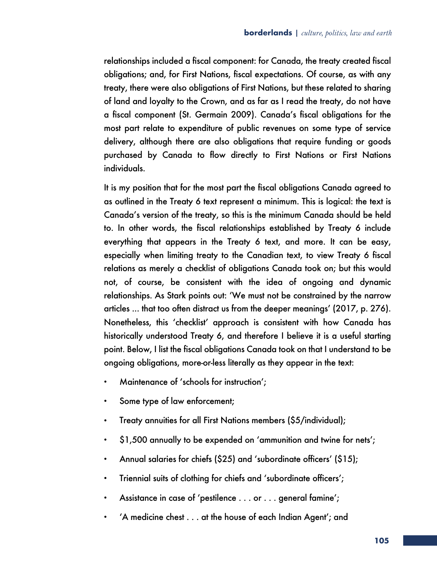relationships included a fiscal component: for Canada, the treaty created fiscal obligations; and, for First Nations, fiscal expectations. Of course, as with any treaty, there were also obligations of First Nations, but these related to sharing of land and loyalty to the Crown, and as far as I read the treaty, do not have a fiscal component (St. Germain 2009). Canada's fiscal obligations for the most part relate to expenditure of public revenues on some type of service delivery, although there are also obligations that require funding or goods purchased by Canada to flow directly to First Nations or First Nations individuals.

It is my position that for the most part the fiscal obligations Canada agreed to as outlined in the Treaty 6 text represent a minimum. This is logical: the text is Canada's version of the treaty, so this is the minimum Canada should be held to. In other words, the fiscal relationships established by Treaty 6 include everything that appears in the Treaty 6 text, and more. It can be easy, especially when limiting treaty to the Canadian text, to view Treaty 6 fiscal relations as merely a checklist of obligations Canada took on; but this would not, of course, be consistent with the idea of ongoing and dynamic relationships. As Stark points out: 'We must not be constrained by the narrow articles ... that too often distract us from the deeper meanings' (2017, p. 276). Nonetheless, this 'checklist' approach is consistent with how Canada has historically understood Treaty 6, and therefore I believe it is a useful starting point. Below, I list the fiscal obligations Canada took on that I understand to be ongoing obligations, more-or-less literally as they appear in the text:

- Maintenance of 'schools for instruction';
- Some type of law enforcement;
- Treaty annuities for all First Nations members (\$5/individual);
- \$1,500 annually to be expended on 'ammunition and twine for nets';
- Annual salaries for chiefs (\$25) and 'subordinate officers' (\$15);
- Triennial suits of clothing for chiefs and 'subordinate officers';
- Assistance in case of 'pestilence . . . or . . . general famine';
- 'A medicine chest . . . at the house of each Indian Agent'; and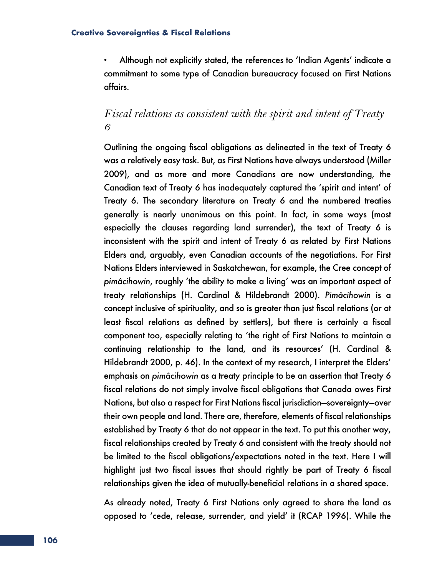• Although not explicitly stated, the references to 'Indian Agents' indicate a commitment to some type of Canadian bureaucracy focused on First Nations affairs.

## *Fiscal relations as consistent with the spirit and intent of Treaty 6*

Outlining the ongoing fiscal obligations as delineated in the text of Treaty 6 was a relatively easy task. But, as First Nations have always understood (Miller 2009), and as more and more Canadians are now understanding, the Canadian text of Treaty 6 has inadequately captured the 'spirit and intent' of Treaty 6. The secondary literature on Treaty 6 and the numbered treaties generally is nearly unanimous on this point. In fact, in some ways (most especially the clauses regarding land surrender), the text of Treaty 6 is inconsistent with the spirit and intent of Treaty 6 as related by First Nations Elders and, arguably, even Canadian accounts of the negotiations. For First Nations Elders interviewed in Saskatchewan, for example, the Cree concept of *pimâcihowin*, roughly 'the ability to make a living' was an important aspect of treaty relationships (H. Cardinal & Hildebrandt 2000). *Pimâcihowin* is a concept inclusive of spirituality, and so is greater than just fiscal relations (or at least fiscal relations as defined by settlers), but there is certainly a fiscal component too, especially relating to 'the right of First Nations to maintain a continuing relationship to the land, and its resources' (H. Cardinal & Hildebrandt 2000, p. 46). In the context of my research, I interpret the Elders' emphasis on *pimâcihowin* as a treaty principle to be an assertion that Treaty 6 fiscal relations do not simply involve fiscal obligations that Canada owes First Nations, but also a respect for First Nations fiscal jurisdiction—sovereignty—over their own people and land. There are, therefore, elements of fiscal relationships established by Treaty 6 that do not appear in the text. To put this another way, fiscal relationships created by Treaty 6 and consistent with the treaty should not be limited to the fiscal obligations/expectations noted in the text. Here I will highlight just two fiscal issues that should rightly be part of Treaty 6 fiscal relationships given the idea of mutually-beneficial relations in a shared space.

As already noted, Treaty 6 First Nations only agreed to share the land as opposed to 'cede, release, surrender, and yield' it (RCAP 1996). While the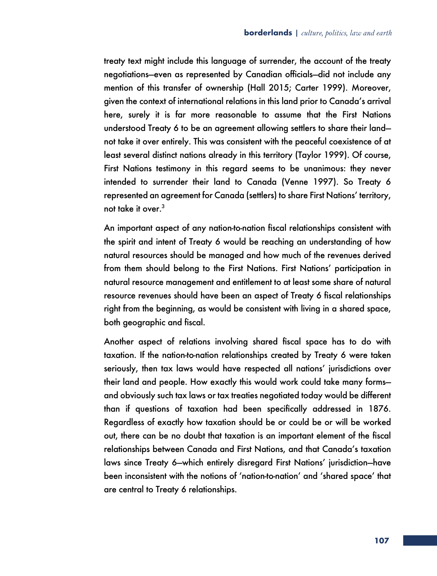treaty text might include this language of surrender, the account of the treaty negotiations—even as represented by Canadian officials—did not include any mention of this transfer of ownership (Hall 2015; Carter 1999). Moreover, given the context of international relations in this land prior to Canada's arrival here, surely it is far more reasonable to assume that the First Nations understood Treaty 6 to be an agreement allowing settlers to share their land not take it over entirely. This was consistent with the peaceful coexistence of at least several distinct nations already in this territory (Taylor 1999). Of course, First Nations testimony in this regard seems to be unanimous: they never intended to surrender their land to Canada (Venne 1997). So Treaty 6 represented an agreement for Canada (settlers) to share First Nations' territory, not take it over.<sup>3</sup>

An important aspect of any nation-to-nation fiscal relationships consistent with the spirit and intent of Treaty 6 would be reaching an understanding of how natural resources should be managed and how much of the revenues derived from them should belong to the First Nations. First Nations' participation in natural resource management and entitlement to at least some share of natural resource revenues should have been an aspect of Treaty 6 fiscal relationships right from the beginning, as would be consistent with living in a shared space, both geographic and fiscal.

Another aspect of relations involving shared fiscal space has to do with taxation. If the nation-to-nation relationships created by Treaty 6 were taken seriously, then tax laws would have respected all nations' jurisdictions over their land and people. How exactly this would work could take many forms and obviously such tax laws or tax treaties negotiated today would be different than if questions of taxation had been specifically addressed in 1876. Regardless of exactly how taxation should be or could be or will be worked out, there can be no doubt that taxation is an important element of the fiscal relationships between Canada and First Nations, and that Canada's taxation laws since Treaty 6—which entirely disregard First Nations' jurisdiction—have been inconsistent with the notions of 'nation-to-nation' and 'shared space' that are central to Treaty 6 relationships.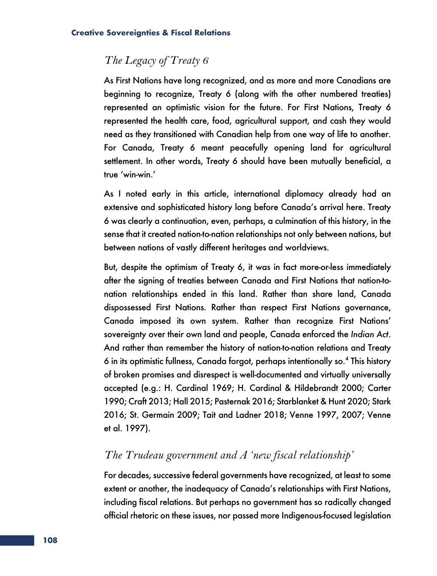## *The Legacy of Treaty 6*

As First Nations have long recognized, and as more and more Canadians are beginning to recognize, Treaty 6 (along with the other numbered treaties) represented an optimistic vision for the future. For First Nations, Treaty 6 represented the health care, food, agricultural support, and cash they would need as they transitioned with Canadian help from one way of life to another. For Canada, Treaty 6 meant peacefully opening land for agricultural settlement. In other words, Treaty 6 should have been mutually beneficial, a true 'win-win.'

As I noted early in this article, international diplomacy already had an extensive and sophisticated history long before Canada's arrival here. Treaty 6 was clearly a continuation, even, perhaps, a culmination of this history, in the sense that it created nation-to-nation relationships not only between nations, but between nations of vastly different heritages and worldviews.

But, despite the optimism of Treaty 6, it was in fact more-or-less immediately after the signing of treaties between Canada and First Nations that nation-tonation relationships ended in this land. Rather than share land, Canada dispossessed First Nations. Rather than respect First Nations governance, Canada imposed its own system. Rather than recognize First Nations' sovereignty over their own land and people, Canada enforced the *Indian Act*. And rather than remember the history of nation-to-nation relations and Treaty 6 in its optimistic fullness, Canada forgot, perhaps intentionally so.4 This history of broken promises and disrespect is well-documented and virtually universally accepted (e.g.: H. Cardinal 1969; H. Cardinal & Hildebrandt 2000; Carter 1990; Craft 2013; Hall 2015; Pasternak 2016; Starblanket & Hunt 2020; Stark 2016; St. Germain 2009; Tait and Ladner 2018; Venne 1997, 2007; Venne et al. 1997).

## *The Trudeau government and A 'new fiscal relationship'*

For decades, successive federal governments have recognized, at least to some extent or another, the inadequacy of Canada's relationships with First Nations, including fiscal relations. But perhaps no government has so radically changed official rhetoric on these issues, nor passed more Indigenous-focused legislation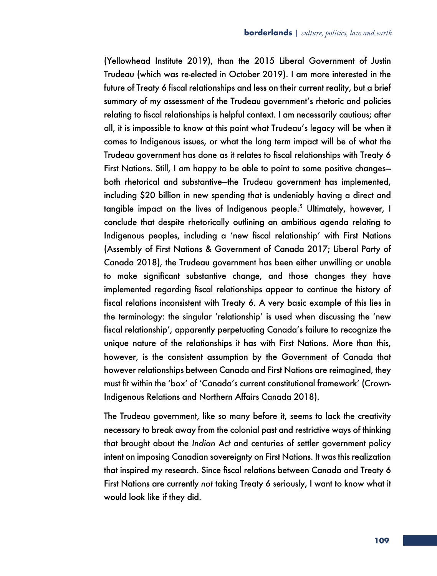(Yellowhead Institute 2019), than the 2015 Liberal Government of Justin Trudeau (which was re-elected in October 2019). I am more interested in the future of Treaty 6 fiscal relationships and less on their current reality, but a brief summary of my assessment of the Trudeau government's rhetoric and policies relating to fiscal relationships is helpful context. I am necessarily cautious; after all, it is impossible to know at this point what Trudeau's legacy will be when it comes to Indigenous issues, or what the long term impact will be of what the Trudeau government has done as it relates to fiscal relationships with Treaty 6 First Nations. Still, I am happy to be able to point to some positive changes both rhetorical and substantive—the Trudeau government has implemented, including \$20 billion in new spending that is undeniably having a direct and tangible impact on the lives of Indigenous people.<sup>5</sup> Ultimately, however, I conclude that despite rhetorically outlining an ambitious agenda relating to Indigenous peoples, including a 'new fiscal relationship' with First Nations (Assembly of First Nations & Government of Canada 2017; Liberal Party of Canada 2018), the Trudeau government has been either unwilling or unable to make significant substantive change, and those changes they have implemented regarding fiscal relationships appear to continue the history of fiscal relations inconsistent with Treaty 6. A very basic example of this lies in the terminology: the singular 'relationship' is used when discussing the 'new fiscal relationship', apparently perpetuating Canada's failure to recognize the unique nature of the relationships it has with First Nations. More than this, however, is the consistent assumption by the Government of Canada that however relationships between Canada and First Nations are reimagined, they must fit within the 'box' of 'Canada's current constitutional framework' (Crown-Indigenous Relations and Northern Affairs Canada 2018).

The Trudeau government, like so many before it, seems to lack the creativity necessary to break away from the colonial past and restrictive ways of thinking that brought about the *Indian Act* and centuries of settler government policy intent on imposing Canadian sovereignty on First Nations. It was this realization that inspired my research. Since fiscal relations between Canada and Treaty 6 First Nations are currently *not* taking Treaty 6 seriously, I want to know what it would look like if they did.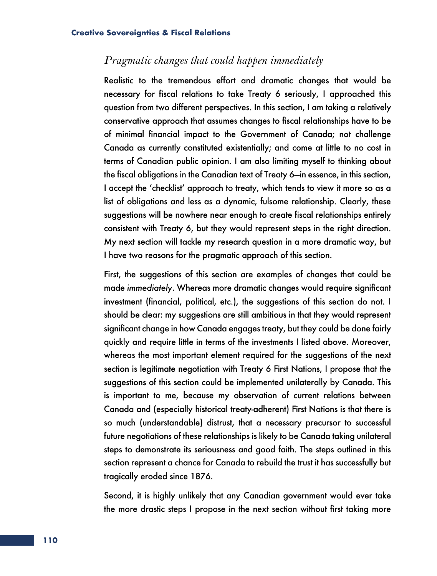## *Pragmatic changes that could happen immediately*

Realistic to the tremendous effort and dramatic changes that would be necessary for fiscal relations to take Treaty 6 seriously, I approached this question from two different perspectives. In this section, I am taking a relatively conservative approach that assumes changes to fiscal relationships have to be of minimal financial impact to the Government of Canada; not challenge Canada as currently constituted existentially; and come at little to no cost in terms of Canadian public opinion. I am also limiting myself to thinking about the fiscal obligations in the Canadian text of Treaty 6—in essence, in this section, I accept the 'checklist' approach to treaty, which tends to view it more so as a list of obligations and less as a dynamic, fulsome relationship. Clearly, these suggestions will be nowhere near enough to create fiscal relationships entirely consistent with Treaty 6, but they would represent steps in the right direction. My next section will tackle my research question in a more dramatic way, but I have two reasons for the pragmatic approach of this section.

First, the suggestions of this section are examples of changes that could be made *immediately*. Whereas more dramatic changes would require significant investment (financial, political, etc.), the suggestions of this section do not. I should be clear: my suggestions are still ambitious in that they would represent significant change in how Canada engages treaty, but they could be done fairly quickly and require little in terms of the investments I listed above. Moreover, whereas the most important element required for the suggestions of the next section is legitimate negotiation with Treaty 6 First Nations, I propose that the suggestions of this section could be implemented unilaterally by Canada. This is important to me, because my observation of current relations between Canada and (especially historical treaty-adherent) First Nations is that there is so much (understandable) distrust, that a necessary precursor to successful future negotiations of these relationships is likely to be Canada taking unilateral steps to demonstrate its seriousness and good faith. The steps outlined in this section represent a chance for Canada to rebuild the trust it has successfully but tragically eroded since 1876.

Second, it is highly unlikely that any Canadian government would ever take the more drastic steps I propose in the next section without first taking more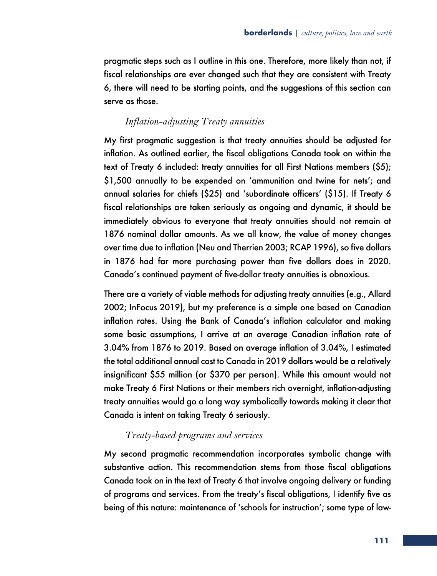pragmatic steps such as I outline in this one. Therefore, more likely than not, if fiscal relationships are ever changed such that they are consistent with Treaty 6, there will need to be starting points, and the suggestions of this section can serve as those.

## *Inflation-adjusting Treaty annuities*

My first pragmatic suggestion is that treaty annuities should be adjusted for inflation. As outlined earlier, the fiscal obligations Canada took on within the text of Treaty 6 included: treaty annuities for all First Nations members (\$5); \$1,500 annually to be expended on 'ammunition and twine for nets'; and annual salaries for chiefs (\$25) and 'subordinate officers' (\$15). If Treaty 6 fiscal relationships are taken seriously as ongoing and dynamic, it should be immediately obvious to everyone that treaty annuities should not remain at 1876 nominal dollar amounts. As we all know, the value of money changes over time due to inflation (Neu and Therrien 2003; RCAP 1996), so five dollars in 1876 had far more purchasing power than five dollars does in 2020. Canada's continued payment of five-dollar treaty annuities is obnoxious.

There are a variety of viable methods for adjusting treaty annuities (e.g., Allard 2002; InFocus 2019), but my preference is a simple one based on Canadian inflation rates. Using the Bank of Canada's inflation calculator and making some basic assumptions, I arrive at an average Canadian inflation rate of 3.04% from 1876 to 2019. Based on average inflation of 3.04%, I estimated the total additional annual cost to Canada in 2019 dollars would be a relatively insignificant \$55 million (or \$370 per person). While this amount would not make Treaty 6 First Nations or their members rich overnight, inflation-adjusting treaty annuities would go a long way symbolically towards making it clear that Canada is intent on taking Treaty 6 seriously.

### *Treaty-based programs and services*

My second pragmatic recommendation incorporates symbolic change with substantive action. This recommendation stems from those fiscal obligations Canada took on in the text of Treaty 6 that involve ongoing delivery or funding of programs and services. From the treaty's fiscal obligations, I identify five as being of this nature: maintenance of 'schools for instruction'; some type of law-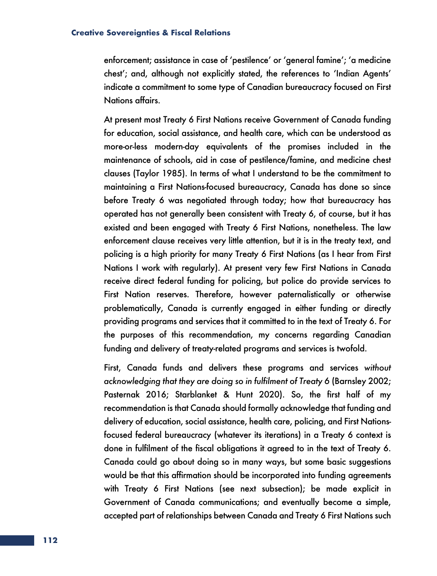enforcement; assistance in case of 'pestilence' or 'general famine'; 'a medicine chest'; and, although not explicitly stated, the references to 'Indian Agents' indicate a commitment to some type of Canadian bureaucracy focused on First Nations affairs.

At present most Treaty 6 First Nations receive Government of Canada funding for education, social assistance, and health care, which can be understood as more-or-less modern-day equivalents of the promises included in the maintenance of schools, aid in case of pestilence/famine, and medicine chest clauses (Taylor 1985). In terms of what I understand to be the commitment to maintaining a First Nations-focused bureaucracy, Canada has done so since before Treaty 6 was negotiated through today; how that bureaucracy has operated has not generally been consistent with Treaty 6, of course, but it has existed and been engaged with Treaty 6 First Nations, nonetheless. The law enforcement clause receives very little attention, but it is in the treaty text, and policing is a high priority for many Treaty 6 First Nations (as I hear from First Nations I work with regularly). At present very few First Nations in Canada receive direct federal funding for policing, but police do provide services to First Nation reserves. Therefore, however paternalistically or otherwise problematically, Canada is currently engaged in either funding or directly providing programs and services that it committed to in the text of Treaty 6. For the purposes of this recommendation, my concerns regarding Canadian funding and delivery of treaty-related programs and services is twofold.

First, Canada funds and delivers these programs and services *without acknowledging that they are doing so in fulfilment of Treaty 6* (Barnsley 2002; Pasternak 2016; Starblanket & Hunt 2020). So, the first half of my recommendation is that Canada should formally acknowledge that funding and delivery of education, social assistance, health care, policing, and First Nationsfocused federal bureaucracy (whatever its iterations) in a Treaty 6 context is done in fulfilment of the fiscal obligations it agreed to in the text of Treaty 6. Canada could go about doing so in many ways, but some basic suggestions would be that this affirmation should be incorporated into funding agreements with Treaty 6 First Nations (see next subsection); be made explicit in Government of Canada communications; and eventually become a simple, accepted part of relationships between Canada and Treaty 6 First Nations such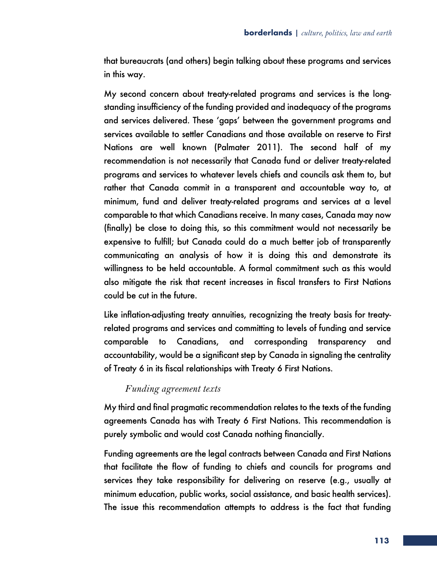that bureaucrats (and others) begin talking about these programs and services in this way.

My second concern about treaty-related programs and services is the longstanding insufficiency of the funding provided and inadequacy of the programs and services delivered. These 'gaps' between the government programs and services available to settler Canadians and those available on reserve to First Nations are well known (Palmater 2011). The second half of my recommendation is not necessarily that Canada fund or deliver treaty-related programs and services to whatever levels chiefs and councils ask them to, but rather that Canada commit in a transparent and accountable way to, at minimum, fund and deliver treaty-related programs and services at a level comparable to that which Canadians receive. In many cases, Canada may now (finally) be close to doing this, so this commitment would not necessarily be expensive to fulfill; but Canada could do a much better job of transparently communicating an analysis of how it is doing this and demonstrate its willingness to be held accountable. A formal commitment such as this would also mitigate the risk that recent increases in fiscal transfers to First Nations could be cut in the future.

Like inflation-adjusting treaty annuities, recognizing the treaty basis for treatyrelated programs and services and committing to levels of funding and service comparable to Canadians, and corresponding transparency and accountability, would be a significant step by Canada in signaling the centrality of Treaty 6 in its fiscal relationships with Treaty 6 First Nations.

### *Funding agreement texts*

My third and final pragmatic recommendation relates to the texts of the funding agreements Canada has with Treaty 6 First Nations. This recommendation is purely symbolic and would cost Canada nothing financially.

Funding agreements are the legal contracts between Canada and First Nations that facilitate the flow of funding to chiefs and councils for programs and services they take responsibility for delivering on reserve (e.g., usually at minimum education, public works, social assistance, and basic health services). The issue this recommendation attempts to address is the fact that funding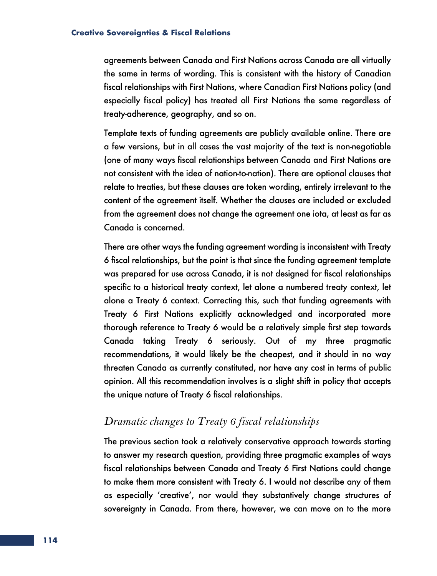agreements between Canada and First Nations across Canada are all virtually the same in terms of wording. This is consistent with the history of Canadian fiscal relationships with First Nations, where Canadian First Nations policy (and especially fiscal policy) has treated all First Nations the same regardless of treaty-adherence, geography, and so on.

Template texts of funding agreements are publicly available online. There are a few versions, but in all cases the vast majority of the text is non-negotiable (one of many ways fiscal relationships between Canada and First Nations are not consistent with the idea of nation-to-nation). There are optional clauses that relate to treaties, but these clauses are token wording, entirely irrelevant to the content of the agreement itself. Whether the clauses are included or excluded from the agreement does not change the agreement one iota, at least as far as Canada is concerned.

There are other ways the funding agreement wording is inconsistent with Treaty 6 fiscal relationships, but the point is that since the funding agreement template was prepared for use across Canada, it is not designed for fiscal relationships specific to a historical treaty context, let alone a numbered treaty context, let alone a Treaty 6 context. Correcting this, such that funding agreements with Treaty 6 First Nations explicitly acknowledged and incorporated more thorough reference to Treaty 6 would be a relatively simple first step towards Canada taking Treaty 6 seriously. Out of my three pragmatic recommendations, it would likely be the cheapest, and it should in no way threaten Canada as currently constituted, nor have any cost in terms of public opinion. All this recommendation involves is a slight shift in policy that accepts the unique nature of Treaty 6 fiscal relationships.

## *Dramatic changes to Treaty 6 fiscal relationships*

The previous section took a relatively conservative approach towards starting to answer my research question, providing three pragmatic examples of ways fiscal relationships between Canada and Treaty 6 First Nations could change to make them more consistent with Treaty 6. I would not describe any of them as especially 'creative', nor would they substantively change structures of sovereignty in Canada. From there, however, we can move on to the more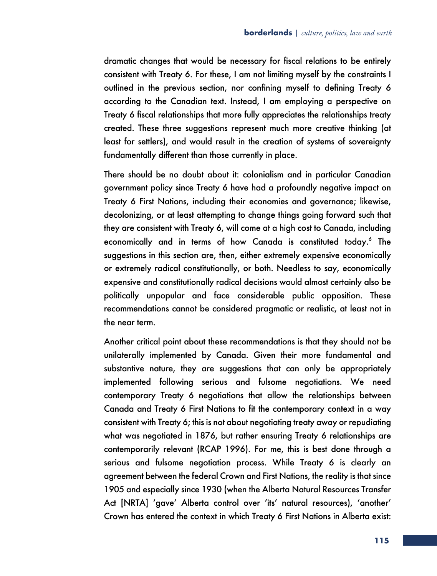dramatic changes that would be necessary for fiscal relations to be entirely consistent with Treaty 6. For these, I am not limiting myself by the constraints I outlined in the previous section, nor confining myself to defining Treaty 6 according to the Canadian text. Instead, I am employing a perspective on Treaty 6 fiscal relationships that more fully appreciates the relationships treaty created. These three suggestions represent much more creative thinking (at least for settlers), and would result in the creation of systems of sovereignty fundamentally different than those currently in place.

There should be no doubt about it: colonialism and in particular Canadian government policy since Treaty 6 have had a profoundly negative impact on Treaty 6 First Nations, including their economies and governance; likewise, decolonizing, or at least attempting to change things going forward such that they are consistent with Treaty 6, will come at a high cost to Canada, including economically and in terms of how Canada is constituted today.<sup>6</sup> The suggestions in this section are, then, either extremely expensive economically or extremely radical constitutionally, or both. Needless to say, economically expensive and constitutionally radical decisions would almost certainly also be politically unpopular and face considerable public opposition. These recommendations cannot be considered pragmatic or realistic, at least not in the near term.

Another critical point about these recommendations is that they should not be unilaterally implemented by Canada. Given their more fundamental and substantive nature, they are suggestions that can only be appropriately implemented following serious and fulsome negotiations. We need contemporary Treaty 6 negotiations that allow the relationships between Canada and Treaty 6 First Nations to fit the contemporary context in a way consistent with Treaty 6; this is not about negotiating treaty away or repudiating what was negotiated in 1876, but rather ensuring Treaty 6 relationships are contemporarily relevant (RCAP 1996). For me, this is best done through a serious and fulsome negotiation process. While Treaty 6 is clearly an agreement between the federal Crown and First Nations, the reality is that since 1905 and especially since 1930 (when the Alberta Natural Resources Transfer Act [NRTA] 'gave' Alberta control over 'its' natural resources), 'another' Crown has entered the context in which Treaty 6 First Nations in Alberta exist: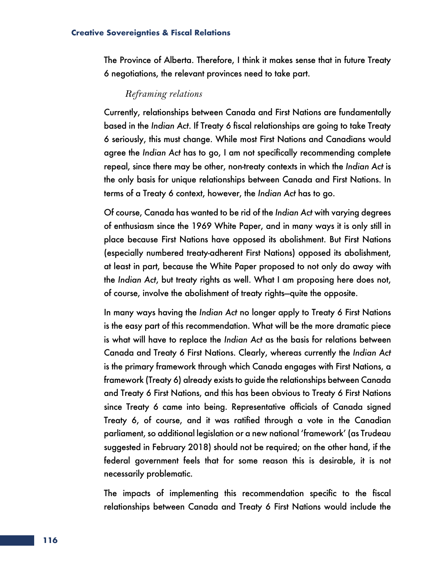The Province of Alberta. Therefore, I think it makes sense that in future Treaty 6 negotiations, the relevant provinces need to take part.

### *Reframing relations*

Currently, relationships between Canada and First Nations are fundamentally based in the *Indian Act*. If Treaty 6 fiscal relationships are going to take Treaty 6 seriously, this must change. While most First Nations and Canadians would agree the *Indian Act* has to go, I am not specifically recommending complete repeal, since there may be other, non-treaty contexts in which the *Indian Act* is the only basis for unique relationships between Canada and First Nations. In terms of a Treaty 6 context, however, the *Indian Act* has to go.

Of course, Canada has wanted to be rid of the *Indian Act* with varying degrees of enthusiasm since the 1969 White Paper, and in many ways it is only still in place because First Nations have opposed its abolishment. But First Nations (especially numbered treaty-adherent First Nations) opposed its abolishment, at least in part, because the White Paper proposed to not only do away with the *Indian Act*, but treaty rights as well. What I am proposing here does not, of course, involve the abolishment of treaty rights—quite the opposite.

In many ways having the *Indian Act* no longer apply to Treaty 6 First Nations is the easy part of this recommendation. What will be the more dramatic piece is what will have to replace the *Indian Act* as the basis for relations between Canada and Treaty 6 First Nations. Clearly, whereas currently the *Indian Act* is the primary framework through which Canada engages with First Nations, a framework (Treaty 6) already exists to guide the relationships between Canada and Treaty 6 First Nations, and this has been obvious to Treaty 6 First Nations since Treaty 6 came into being. Representative officials of Canada signed Treaty 6, of course, and it was ratified through a vote in the Canadian parliament, so additional legislation or a new national 'framework' (as Trudeau suggested in February 2018) should not be required; on the other hand, if the federal government feels that for some reason this is desirable, it is not necessarily problematic.

The impacts of implementing this recommendation specific to the fiscal relationships between Canada and Treaty 6 First Nations would include the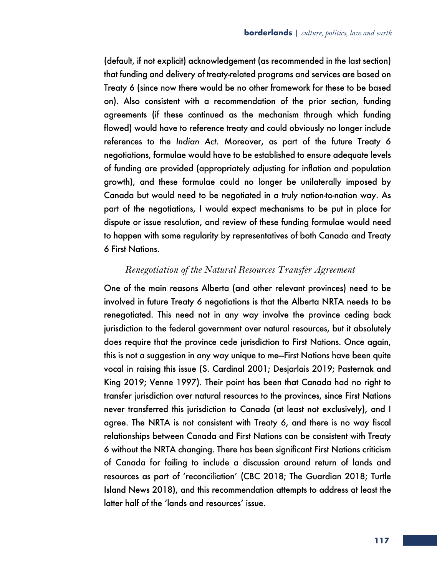(default, if not explicit) acknowledgement (as recommended in the last section) that funding and delivery of treaty-related programs and services are based on Treaty 6 (since now there would be no other framework for these to be based on). Also consistent with a recommendation of the prior section, funding agreements (if these continued as the mechanism through which funding flowed) would have to reference treaty and could obviously no longer include references to the *Indian Act*. Moreover, as part of the future Treaty 6 negotiations, formulae would have to be established to ensure adequate levels of funding are provided (appropriately adjusting for inflation and population growth), and these formulae could no longer be unilaterally imposed by Canada but would need to be negotiated in a truly nation-to-nation way. As part of the negotiations, I would expect mechanisms to be put in place for dispute or issue resolution, and review of these funding formulae would need to happen with some regularity by representatives of both Canada and Treaty 6 First Nations.

### *Renegotiation of the Natural Resources Transfer Agreement*

One of the main reasons Alberta (and other relevant provinces) need to be involved in future Treaty 6 negotiations is that the Alberta NRTA needs to be renegotiated. This need not in any way involve the province ceding back jurisdiction to the federal government over natural resources, but it absolutely does require that the province cede jurisdiction to First Nations. Once again, this is not a suggestion in any way unique to me—First Nations have been quite vocal in raising this issue (S. Cardinal 2001; Desjarlais 2019; Pasternak and King 2019; Venne 1997). Their point has been that Canada had no right to transfer jurisdiction over natural resources to the provinces, since First Nations never transferred this jurisdiction to Canada (at least not exclusively), and I agree. The NRTA is not consistent with Treaty 6, and there is no way fiscal relationships between Canada and First Nations can be consistent with Treaty 6 without the NRTA changing. There has been significant First Nations criticism of Canada for failing to include a discussion around return of lands and resources as part of 'reconciliation' (CBC 2018; The Guardian 2018; Turtle Island News 2018), and this recommendation attempts to address at least the latter half of the 'lands and resources' issue.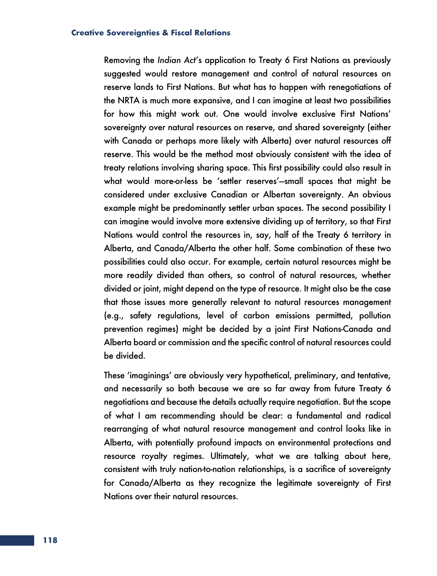Removing the *Indian Act*'s application to Treaty 6 First Nations as previously suggested would restore management and control of natural resources on reserve lands to First Nations. But what has to happen with renegotiations of the NRTA is much more expansive, and I can imagine at least two possibilities for how this might work out. One would involve exclusive First Nations' sovereignty over natural resources on reserve, and shared sovereignty (either with Canada or perhaps more likely with Alberta) over natural resources off reserve. This would be the method most obviously consistent with the idea of treaty relations involving sharing space. This first possibility could also result in what would more-or-less be 'settler reserves'—small spaces that might be considered under exclusive Canadian or Albertan sovereignty. An obvious example might be predominantly settler urban spaces. The second possibility I can imagine would involve more extensive dividing up of territory, so that First Nations would control the resources in, say, half of the Treaty 6 territory in Alberta, and Canada/Alberta the other half. Some combination of these two possibilities could also occur. For example, certain natural resources might be more readily divided than others, so control of natural resources, whether divided or joint, might depend on the type of resource. It might also be the case that those issues more generally relevant to natural resources management (e.g., safety regulations, level of carbon emissions permitted, pollution prevention regimes) might be decided by a joint First Nations-Canada and Alberta board or commission and the specific control of natural resources could be divided.

These 'imaginings' are obviously very hypothetical, preliminary, and tentative, and necessarily so both because we are so far away from future Treaty 6 negotiations and because the details actually require negotiation. But the scope of what I am recommending should be clear: a fundamental and radical rearranging of what natural resource management and control looks like in Alberta, with potentially profound impacts on environmental protections and resource royalty regimes. Ultimately, what we are talking about here, consistent with truly nation-to-nation relationships, is a sacrifice of sovereignty for Canada/Alberta as they recognize the legitimate sovereignty of First Nations over their natural resources.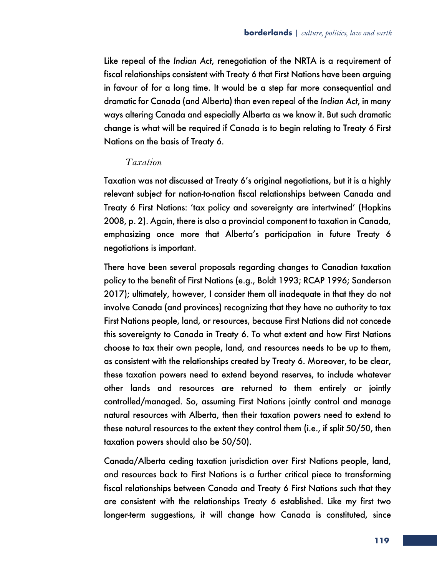Like repeal of the *Indian Act*, renegotiation of the NRTA is a requirement of fiscal relationships consistent with Treaty 6 that First Nations have been arguing in favour of for a long time. It would be a step far more consequential and dramatic for Canada (and Alberta) than even repeal of the *Indian Act*, in many ways altering Canada and especially Alberta as we know it. But such dramatic change is what will be required if Canada is to begin relating to Treaty 6 First Nations on the basis of Treaty 6.

### *Taxation*

Taxation was not discussed at Treaty 6's original negotiations, but it is a highly relevant subject for nation-to-nation fiscal relationships between Canada and Treaty 6 First Nations: 'tax policy and sovereignty are intertwined' (Hopkins 2008, p. 2). Again, there is also a provincial component to taxation in Canada, emphasizing once more that Alberta's participation in future Treaty 6 negotiations is important.

There have been several proposals regarding changes to Canadian taxation policy to the benefit of First Nations (e.g., Boldt 1993; RCAP 1996; Sanderson 2017); ultimately, however, I consider them all inadequate in that they do not involve Canada (and provinces) recognizing that they have no authority to tax First Nations people, land, or resources, because First Nations did not concede this sovereignty to Canada in Treaty 6. To what extent and how First Nations choose to tax their own people, land, and resources needs to be up to them, as consistent with the relationships created by Treaty 6. Moreover, to be clear, these taxation powers need to extend beyond reserves, to include whatever other lands and resources are returned to them entirely or jointly controlled/managed. So, assuming First Nations jointly control and manage natural resources with Alberta, then their taxation powers need to extend to these natural resources to the extent they control them (i.e., if split 50/50, then taxation powers should also be 50/50).

Canada/Alberta ceding taxation jurisdiction over First Nations people, land, and resources back to First Nations is a further critical piece to transforming fiscal relationships between Canada and Treaty 6 First Nations such that they are consistent with the relationships Treaty 6 established. Like my first two longer-term suggestions, it will change how Canada is constituted, since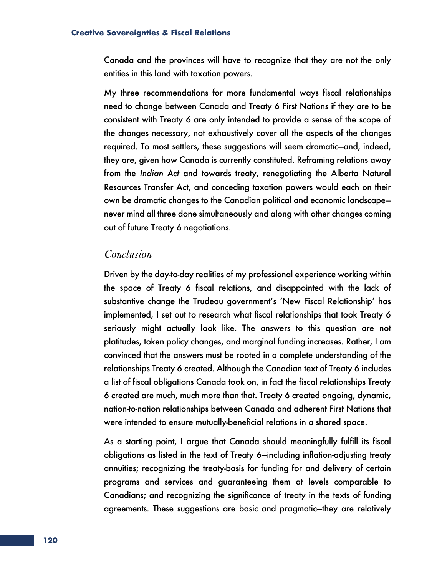Canada and the provinces will have to recognize that they are not the only entities in this land with taxation powers.

My three recommendations for more fundamental ways fiscal relationships need to change between Canada and Treaty 6 First Nations if they are to be consistent with Treaty 6 are only intended to provide a sense of the scope of the changes necessary, not exhaustively cover all the aspects of the changes required. To most settlers, these suggestions will seem dramatic—and, indeed, they are, given how Canada is currently constituted. Reframing relations away from the *Indian Act* and towards treaty, renegotiating the Alberta Natural Resources Transfer Act, and conceding taxation powers would each on their own be dramatic changes to the Canadian political and economic landscape never mind all three done simultaneously and along with other changes coming out of future Treaty 6 negotiations.

### *Conclusion*

Driven by the day-to-day realities of my professional experience working within the space of Treaty 6 fiscal relations, and disappointed with the lack of substantive change the Trudeau government's 'New Fiscal Relationship' has implemented, I set out to research what fiscal relationships that took Treaty 6 seriously might actually look like. The answers to this question are not platitudes, token policy changes, and marginal funding increases. Rather, I am convinced that the answers must be rooted in a complete understanding of the relationships Treaty 6 created. Although the Canadian text of Treaty 6 includes a list of fiscal obligations Canada took on, in fact the fiscal relationships Treaty 6 created are much, much more than that. Treaty 6 created ongoing, dynamic, nation-to-nation relationships between Canada and adherent First Nations that were intended to ensure mutually-beneficial relations in a shared space.

As a starting point, I argue that Canada should meaningfully fulfill its fiscal obligations as listed in the text of Treaty 6—including inflation-adjusting treaty annuities; recognizing the treaty-basis for funding for and delivery of certain programs and services and guaranteeing them at levels comparable to Canadians; and recognizing the significance of treaty in the texts of funding agreements. These suggestions are basic and pragmatic—they are relatively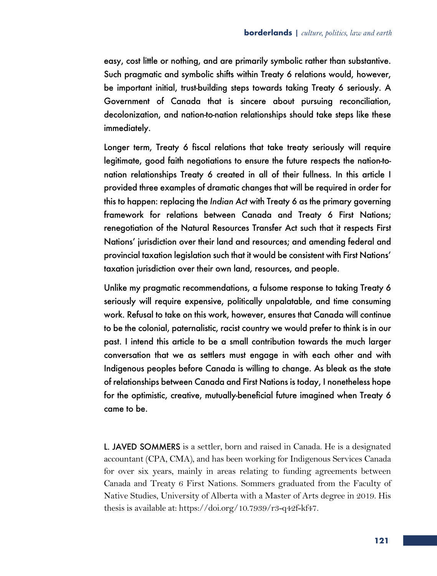easy, cost little or nothing, and are primarily symbolic rather than substantive. Such pragmatic and symbolic shifts within Treaty 6 relations would, however, be important initial, trust-building steps towards taking Treaty 6 seriously. A Government of Canada that is sincere about pursuing reconciliation, decolonization, and nation-to-nation relationships should take steps like these immediately.

Longer term, Treaty 6 fiscal relations that take treaty seriously will require legitimate, good faith negotiations to ensure the future respects the nation-tonation relationships Treaty 6 created in all of their fullness. In this article I provided three examples of dramatic changes that will be required in order for this to happen: replacing the *Indian Act* with Treaty 6 as the primary governing framework for relations between Canada and Treaty 6 First Nations; renegotiation of the Natural Resources Transfer Act such that it respects First Nations' jurisdiction over their land and resources; and amending federal and provincial taxation legislation such that it would be consistent with First Nations' taxation jurisdiction over their own land, resources, and people.

Unlike my pragmatic recommendations, a fulsome response to taking Treaty 6 seriously will require expensive, politically unpalatable, and time consuming work. Refusal to take on this work, however, ensures that Canada will continue to be the colonial, paternalistic, racist country we would prefer to think is in our past. I intend this article to be a small contribution towards the much larger conversation that we as settlers must engage in with each other and with Indigenous peoples before Canada is willing to change. As bleak as the state of relationships between Canada and First Nations is today, I nonetheless hope for the optimistic, creative, mutually-beneficial future imagined when Treaty 6 came to be.

L. JAVED SOMMERS is a settler, born and raised in Canada. He is a designated accountant (CPA, CMA), and has been working for Indigenous Services Canada for over six years, mainly in areas relating to funding agreements between Canada and Treaty 6 First Nations. Sommers graduated from the Faculty of Native Studies, University of Alberta with a Master of Arts degree in 2019. His thesis is available at: https://doi.org/10.7939/r3-q42f-kf47.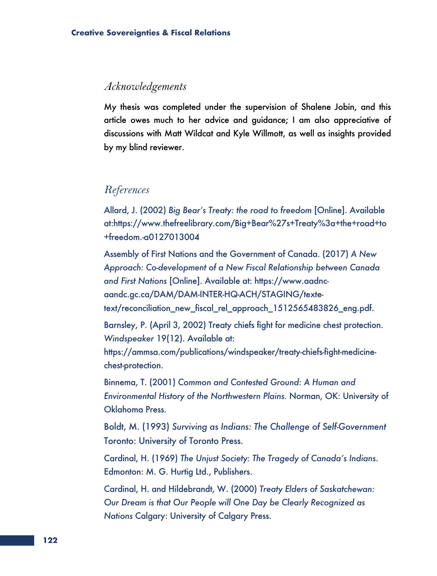### *Acknowledgements*

My thesis was completed under the supervision of Shalene Jobin, and this article owes much to her advice and guidance; I am also appreciative of discussions with Matt Wildcat and Kyle Willmott, as well as insights provided by my blind reviewer.

## *References*

Allard, J. (2002) *Big Bear's Treaty: the road to freedom* [Online]. Available at:https://www.thefreelibrary.com/Big+Bear%27s+Treaty%3a+the+road+to +freedom.-a0127013004

Assembly of First Nations and the Government of Canada. (2017) *A New Approach: Co-development of a New Fiscal Relationship between Canada and First Nations* [Online]. Available at: https://www.aadncaandc.gc.ca/DAM/DAM-INTER-HQ-ACH/STAGING/texte-

text/reconciliation\_new\_fiscal\_rel\_approach\_1512565483826\_eng.pdf.

Barnsley, P. (April 3, 2002) Treaty chiefs fight for medicine chest protection. *Windspeaker* 19(12). Available at:

https://ammsa.com/publications/windspeaker/treaty-chiefs-fight-medicinechest-protection.

Binnema, T. (2001) *Common and Contested Ground: A Human and Environmental History of the Northwestern Plains.* Norman, OK: University of Oklahoma Press.

Boldt, M. (1993) *Surviving as Indians: The Challenge of Self-Government* Toronto: University of Toronto Press.

Cardinal, H. (1969) *The Unjust Society: The Tragedy of Canada's Indians*. Edmonton: M. G. Hurtig Ltd., Publishers.

Cardinal, H. and Hildebrandt, W. (2000) *Treaty Elders of Saskatchewan: Our Dream is that Our People will One Day be Clearly Recognized as Nations* Calgary: University of Calgary Press.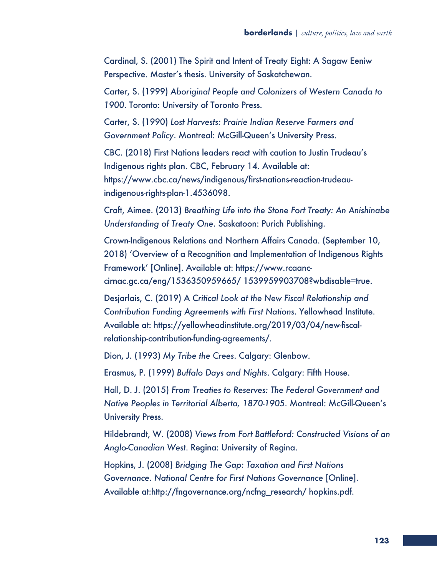Cardinal, S. (2001) The Spirit and Intent of Treaty Eight: A Sagaw Eeniw Perspective. Master's thesis. University of Saskatchewan.

Carter, S. (1999) *Aboriginal People and Colonizers of Western Canada to 1900*. Toronto: University of Toronto Press.

Carter, S. (1990) *Lost Harvests: Prairie Indian Reserve Farmers and Government Policy*. Montreal: McGill-Queen's University Press.

CBC. (2018) First Nations leaders react with caution to Justin Trudeau's Indigenous rights plan. CBC, February 14. Available at: https://www.cbc.ca/news/indigenous/first-nations-reaction-trudeauindigenous-rights-plan-1.4536098.

Craft, Aimee. (2013) *Breathing Life into the Stone Fort Treaty: An Anishinabe Understanding of Treaty One*. Saskatoon: Purich Publishing.

Crown-Indigenous Relations and Northern Affairs Canada. (September 10, 2018) 'Overview of a Recognition and Implementation of Indigenous Rights Framework' [Online]. Available at: https://www.rcaanccirnac.gc.ca/eng/1536350959665/ 1539959903708?wbdisable=true.

Desjarlais, C. (2019) A *Critical Look at the New Fiscal Relationship and Contribution Funding Agreements with First Nations*. Yellowhead Institute. Available at: https://yellowheadinstitute.org/2019/03/04/new-fiscalrelationship-contribution-funding-agreements/.

Dion, J. (1993) *My Tribe the Crees*. Calgary: Glenbow.

Erasmus, P. (1999) *Buffalo Days and Nights*. Calgary: Fifth House.

Hall, D. J. (2015) *From Treaties to Reserves: The Federal Government and Native Peoples in Territorial Alberta, 1870-1905*. Montreal: McGill-Queen's University Press.

Hildebrandt, W. (2008) *Views from Fort Battleford: Constructed Visions of an Anglo-Canadian West*. Regina: University of Regina.

Hopkins, J. (2008) *Bridging The Gap: Taxation and First Nations Governance. National Centre for First Nations Governance* [Online]. Available at:http://fngovernance.org/ncfng\_research/ hopkins.pdf.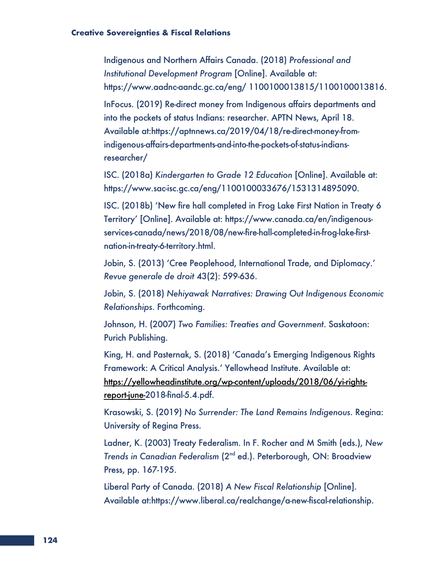Indigenous and Northern Affairs Canada. (2018) *Professional and Institutional Development Program* [Online]. Available at: https://www.aadnc-aandc.gc.ca/eng/ 1100100013815/1100100013816.

InFocus. (2019) Re-direct money from Indigenous affairs departments and into the pockets of status Indians: researcher. APTN News, April 18. Available at:https://aptnnews.ca/2019/04/18/re-direct-money-fromindigenous-affairs-departments-and-into-the-pockets-of-status-indiansresearcher/

ISC. (2018a) *Kindergarten to Grade 12 Education* [Online]. Available at: https://www.sac-isc.gc.ca/eng/1100100033676/1531314895090.

ISC. (2018b) 'New fire hall completed in Frog Lake First Nation in Treaty 6 Territory' [Online]. Available at: https://www.canada.ca/en/indigenousservices-canada/news/2018/08/new-fire-hall-completed-in-frog-lake-firstnation-in-treaty-6-territory.html.

Jobin, S. (2013) 'Cree Peoplehood, International Trade, and Diplomacy.' *Revue generale de droit* 43(2): 599-636.

Jobin, S. (2018) *Nehiyawak Narratives: Drawing Out Indigenous Economic Relationships*. Forthcoming.

Johnson, H. (2007) *Two Families: Treaties and Government*. Saskatoon: Purich Publishing.

King, H. and Pasternak, S. (2018) 'Canada's Emerging Indigenous Rights Framework: A Critical Analysis.' Yellowhead Institute. Available at: https://yellowheadinstitute.org/wp-content/uploads/2018/06/yi-rightsreport-june-2018-final-5.4.pdf.

Krasowski, S. (2019) *No Surrender: The Land Remains Indigenous*. Regina: University of Regina Press.

Ladner, K. (2003) Treaty Federalism. In F. Rocher and M Smith (eds.), *New Trends in Canadian Federalism* (2nd ed.). Peterborough, ON: Broadview Press, pp. 167-195.

Liberal Party of Canada. (2018) *A New Fiscal Relationship* [Online]. Available at:https://www.liberal.ca/realchange/a-new-fiscal-relationship.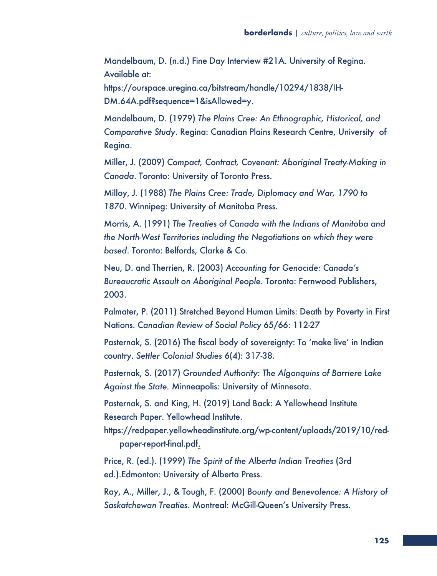Mandelbaum, D. (n.d.) Fine Day Interview #21A. University of Regina. Available at:

https://ourspace.uregina.ca/bitstream/handle/10294/1838/IH-DM.64A.pdf?sequence=1&isAllowed=y.

Mandelbaum, D. (1979) *The Plains Cree: An Ethnographic, Historical, and Comparative Study*. Regina: Canadian Plains Research Centre, University of Regina.

Miller, J. (2009) *Compact, Contract, Covenant: Aboriginal Treaty-Making in Canada*. Toronto: University of Toronto Press.

Milloy, J. (1988) *The Plains Cree: Trade, Diplomacy and War, 1790 to 1870*. Winnipeg: University of Manitoba Press.

Morris, A. (1991) *The Treaties of Canada with the Indians of Manitoba and the North-West Territories including the Negotiations on which they were based*. Toronto: Belfords, Clarke & Co.

Neu, D. and Therrien, R. (2003) *Accounting for Genocide: Canada's Bureaucratic Assault on Aboriginal People*. Toronto: Fernwood Publishers, 2003.

Palmater, P. (2011) Stretched Beyond Human Limits: Death by Poverty in First Nations. *Canadian Review of Social Policy* 65/66: 112-27

Pasternak, S. (2016) The fiscal body of sovereignty: To 'make live' in Indian country. *Settler Colonial Studies* 6(4): 317-38.

Pasternak, S. (2017) *Grounded Authority: The Algonquins of Barriere Lake Against the State.* Minneapolis: University of Minnesota.

Pasternak, S. and King, H. (2019) Land Back: A Yellowhead Institute Research Paper. Yellowhead Institute.

https://redpaper.yellowheadinstitute.org/wp-content/uploads/2019/10/redpaper-report-final.pdf.

Price, R. (ed.). (1999) *The Spirit of the Alberta Indian Treaties* (3rd ed.).Edmonton: University of Alberta Press.

Ray, A., Miller, J., & Tough, F. (2000) *Bounty and Benevolence: A History of Saskatchewan Treaties*. Montreal: McGill-Queen's University Press.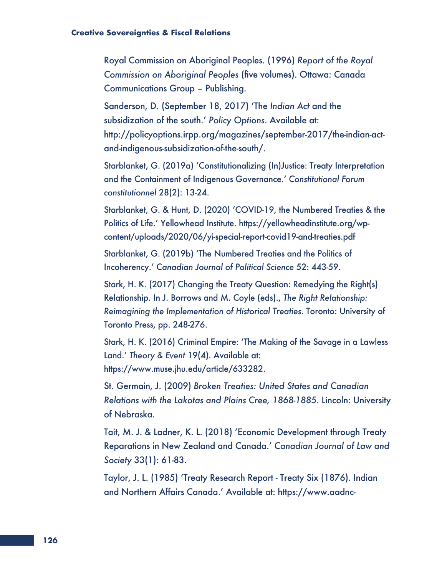Royal Commission on Aboriginal Peoples. (1996) *Report of the Royal Commission on Aboriginal Peoples* (five volumes). Ottawa: Canada Communications Group – Publishing.

Sanderson, D. (September 18, 2017) 'The *Indian Act* and the subsidization of the south.' *Policy Options*. Available at: http://policyoptions.irpp.org/magazines/september-2017/the-indian-actand-indigenous-subsidization-of-the-south/.

Starblanket, G. (2019a) 'Constitutionalizing (In)Justice: Treaty Interpretation and the Containment of Indigenous Governance.' *Constitutional Forum constitutionnel* 28(2): 13-24.

Starblanket, G. & Hunt, D. (2020) 'COVID-19, the Numbered Treaties & the Politics of Life.' Yellowhead Institute. https://yellowheadinstitute.org/wpcontent/uploads/2020/06/yi-special-report-covid19-and-treaties.pdf

Starblanket, G. (2019b) 'The Numbered Treaties and the Politics of Incoherency.' *Canadian Journal of Political Science* 52: 443-59.

Stark, H. K. (2017) Changing the Treaty Question: Remedying the Right(s) Relationship. In J. Borrows and M. Coyle (eds)., *The Right Relationship: Reimagining the Implementation of Historical Treaties*. Toronto: University of Toronto Press, pp. 248-276.

Stark, H. K. (2016) Criminal Empire: 'The Making of the Savage in a Lawless Land.' *Theory & Event* 19(4). Available at: https://www.muse.jhu.edu/article/633282.

St. Germain, J. (2009) *Broken Treaties: United States and Canadian Relations with the Lakotas and Plains Cree, 1868-1885*. Lincoln: University of Nebraska.

Tait, M. J. & Ladner, K. L. (2018) 'Economic Development through Treaty Reparations in New Zealand and Canada.' *Canadian Journal of Law and Society* 33(1): 61-83.

Taylor, J. L. (1985) 'Treaty Research Report - Treaty Six (1876). Indian and Northern Affairs Canada.' Available at: https://www.aadnc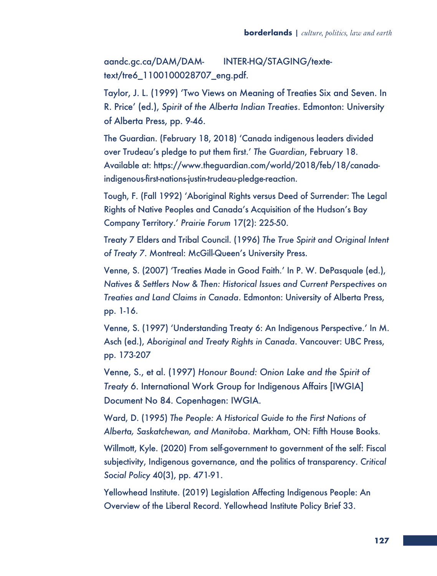aandc.gc.ca/DAM/DAM- INTER-HQ/STAGING/textetext/tre6\_1100100028707\_eng.pdf.

Taylor, J. L. (1999) 'Two Views on Meaning of Treaties Six and Seven. In R. Price' (ed.), *Spirit of the Alberta Indian Treaties*. Edmonton: University of Alberta Press, pp. 9-46.

The Guardian. (February 18, 2018) 'Canada indigenous leaders divided over Trudeau's pledge to put them first.' *The Guardian*, February 18. Available at: https://www.theguardian.com/world/2018/feb/18/canadaindigenous-first-nations-justin-trudeau-pledge-reaction.

Tough, F. (Fall 1992) 'Aboriginal Rights versus Deed of Surrender: The Legal Rights of Native Peoples and Canada's Acquisition of the Hudson's Bay Company Territory.' *Prairie Forum* 17(2): 225-50.

Treaty 7 Elders and Tribal Council. (1996) *The True Spirit and Original Intent of Treaty 7*. Montreal: McGill-Queen's University Press.

Venne, S. (2007) 'Treaties Made in Good Faith.' In P. W. DePasquale (ed.), *Natives & Settlers Now & Then: Historical Issues and Current Perspectives on Treaties and Land Claims in Canada*. Edmonton: University of Alberta Press, pp. 1-16.

Venne, S. (1997) 'Understanding Treaty 6: An Indigenous Perspective.' In M. Asch (ed.), *Aboriginal and Treaty Rights in Canada*. Vancouver: UBC Press, pp. 173-207

Venne, S., et al. (1997) *Honour Bound: Onion Lake and the Spirit of Treaty 6*. International Work Group for Indigenous Affairs [IWGIA] Document No 84. Copenhagen: IWGIA.

Ward, D. (1995) *The People: A Historical Guide to the First Nations of Alberta, Saskatchewan, and Manitoba*. Markham, ON: Fifth House Books.

Willmott, Kyle. (2020) From self-government to government of the self: Fiscal subjectivity, Indigenous governance, and the politics of transparency. *Critical Social Policy* 40(3), pp. 471-91.

Yellowhead Institute. (2019) Legislation Affecting Indigenous People: An Overview of the Liberal Record. Yellowhead Institute Policy Brief 33.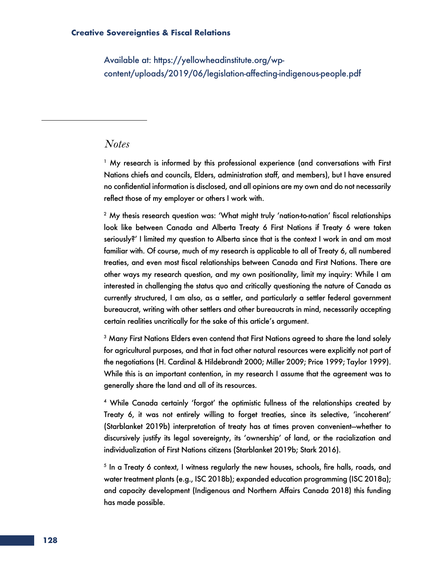Available at: https://yellowheadinstitute.org/wpcontent/uploads/2019/06/legislation-affecting-indigenous-people.pdf

### *Notes*

<sup>1</sup> My research is informed by this professional experience (and conversations with First Nations chiefs and councils, Elders, administration staff, and members), but I have ensured no confidential information is disclosed, and all opinions are my own and do not necessarily reflect those of my employer or others I work with.

<sup>2</sup> My thesis research question was: 'What might truly 'nation-to-nation' fiscal relationships look like between Canada and Alberta Treaty 6 First Nations if Treaty 6 were taken seriously?' I limited my question to Alberta since that is the context I work in and am most familiar with. Of course, much of my research is applicable to all of Treaty 6, all numbered treaties, and even most fiscal relationships between Canada and First Nations. There are other ways my research question, and my own positionality, limit my inquiry: While I am interested in challenging the status quo and critically questioning the nature of Canada as currently structured, I am also, as a settler, and particularly a settler federal government bureaucrat, writing with other settlers and other bureaucrats in mind, necessarily accepting certain realities uncritically for the sake of this article's argument.

 $3$  Many First Nations Elders even contend that First Nations agreed to share the land solely for agricultural purposes, and that in fact other natural resources were explicitly not part of the negotiations (H. Cardinal & Hildebrandt 2000; Miller 2009; Price 1999; Taylor 1999). While this is an important contention, in my research I assume that the agreement was to generally share the land and all of its resources.

<sup>4</sup> While Canada certainly 'forgot' the optimistic fullness of the relationships created by Treaty 6, it was not entirely willing to forget treaties, since its selective, 'incoherent' (Starblanket 2019b) interpretation of treaty has at times proven convenient—whether to discursively justify its legal sovereignty, its 'ownership' of land, or the racialization and individualization of First Nations citizens (Starblanket 2019b; Stark 2016).

 $<sup>5</sup>$  In a Treaty 6 context, I witness regularly the new houses, schools, fire halls, roads, and</sup> water treatment plants (e.g., ISC 2018b); expanded education programming (ISC 2018a); and capacity development (Indigenous and Northern Affairs Canada 2018) this funding has made possible.